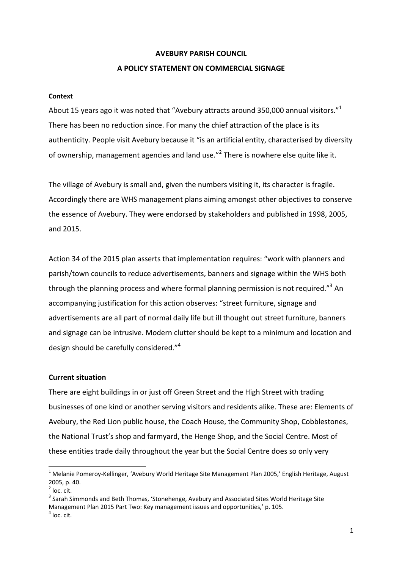## **AVEBURY PARISH COUNCIL**

## **A POLICY STATEMENT ON COMMERCIAL SIGNAGE**

#### **Context**

About 15 years ago it was noted that "Avebury attracts around 350,000 annual visitors."<sup>1</sup> There has been no reduction since. For many the chief attraction of the place is its authenticity. People visit Avebury because it "is an artificial entity, characterised by diversity of ownership, management agencies and land use."<sup>2</sup> There is nowhere else quite like it.

The village of Avebury is small and, given the numbers visiting it, its character is fragile. Accordingly there are WHS management plans aiming amongst other objectives to conserve the essence of Avebury. They were endorsed by stakeholders and published in 1998, 2005, and 2015.

Action 34 of the 2015 plan asserts that implementation requires: "work with planners and parish/town councils to reduce advertisements, banners and signage within the WHS both through the planning process and where formal planning permission is not required."<sup>3</sup> An accompanying justification for this action observes: "street furniture, signage and advertisements are all part of normal daily life but ill thought out street furniture, banners and signage can be intrusive. Modern clutter should be kept to a minimum and location and design should be carefully considered."<sup>4</sup>

### **Current situation**

There are eight buildings in or just off Green Street and the High Street with trading businesses of one kind or another serving visitors and residents alike. These are: Elements of Avebury, the Red Lion public house, the Coach House, the Community Shop, Cobblestones, the National Trust's shop and farmyard, the Henge Shop, and the Social Centre. Most of these entities trade daily throughout the year but the Social Centre does so only very

l

<sup>&</sup>lt;sup>1</sup> Melanie Pomeroy-Kellinger, 'Avebury World Heritage Site Management Plan 2005,' English Heritage, August 2005, p. 40.

 $2$  loc. cit.

<sup>&</sup>lt;sup>3</sup> Sarah Simmonds and Beth Thomas, 'Stonehenge, Avebury and Associated Sites World Heritage Site Management Plan 2015 Part Two: Key management issues and opportunities,' p. 105.